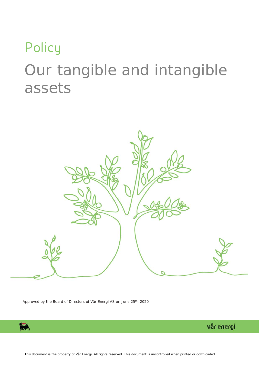# **Policy** Our tangible and intangible assets



Approved by the Board of Directors of Vår Energi AS on June 25<sup>th</sup>, 2020



vår energi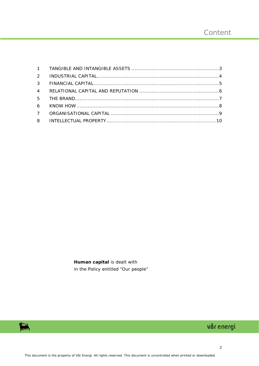**Human capital** is dealt with in the Policy entitled "Our people"



# vår energi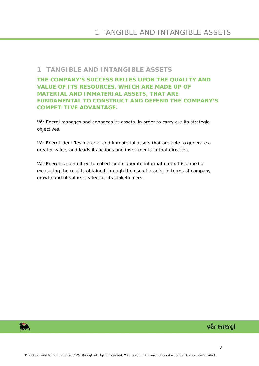#### <span id="page-2-0"></span>**1 TANGIBLE AND INTANGIBLE ASSETS**

**THE COMPANY'S SUCCESS RELIES UPON THE QUALITY AND VALUE OF ITS RESOURCES, WHICH ARE MADE UP OF MATERIAL AND IMMATERIAL ASSETS, THAT ARE FUNDAMENTAL TO CONSTRUCT AND DEFEND THE COMPANY'S COMPETITIVE ADVANTAGE.**

Vår Energi manages and enhances its assets, in order to carry out its strategic objectives.

Vår Energi identifies material and immaterial assets that are able to generate a greater value, and leads its actions and investments in that direction.

Vår Energi is committed to collect and elaborate information that is aimed at measuring the results obtained through the use of assets, in terms of company growth and of value created for its stakeholders.

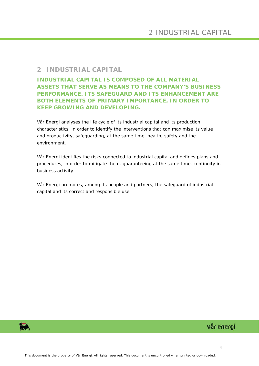## <span id="page-3-0"></span>**2 INDUSTRIAL CAPITAL**

**INDUSTRIAL CAPITAL IS COMPOSED OF ALL MATERIAL ASSETS THAT SERVE AS MEANS TO THE COMPANY'S BUSINESS PERFORMANCE. ITS SAFEGUARD AND ITS ENHANCEMENT ARE BOTH ELEMENTS OF PRIMARY IMPORTANCE, IN ORDER TO KEEP GROWING AND DEVELOPING.**

Vår Energi analyses the life cycle of its industrial capital and its production characteristics, in order to identify the interventions that can maximise its value and productivity, safeguarding, at the same time, health, safety and the environment.

Vår Energi identifies the risks connected to industrial capital and defines plans and procedures, in order to mitigate them, guaranteeing at the same time, continuity in business activity.

Vår Energi promotes, among its people and partners, the safeguard of industrial capital and its correct and responsible use.

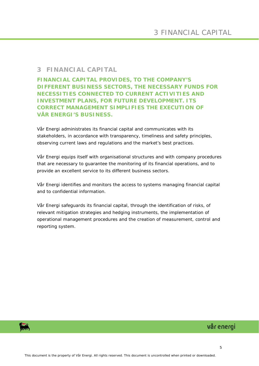#### <span id="page-4-0"></span>**3 FINANCIAL CAPITAL**

**FINANCIAL CAPITAL PROVIDES, TO THE COMPANY'S DIFFERENT BUSINESS SECTORS, THE NECESSARY FUNDS FOR NECESSITIES CONNECTED TO CURRENT ACTIVITIES AND INVESTMENT PLANS, FOR FUTURE DEVELOPMENT. ITS CORRECT MANAGEMENT SIMPLIFIES THE EXECUTION OF VÅR ENERGI'S BUSINESS.**

Vår Energi administrates its financial capital and communicates with its stakeholders, in accordance with transparency, timeliness and safety principles, observing current laws and regulations and the market's best practices.

Vår Energi equips itself with organisational structures and with company procedures that are necessary to guarantee the monitoring of its financial operations, and to provide an excellent service to its different business sectors.

Vår Energi identifies and monitors the access to systems managing financial capital and to confidential information.

Vår Energi safeguards its financial capital, through the identification of risks, of relevant mitigation strategies and hedging instruments, the implementation of operational management procedures and the creation of measurement, control and reporting system.



# vår energi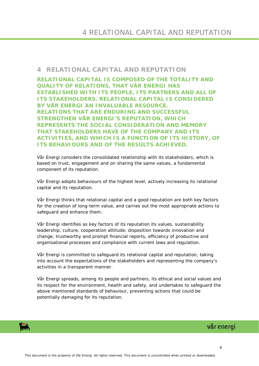#### <span id="page-5-0"></span>**4 RELATIONAL CAPITAL AND REPUTATION**

**RELATIONAL CAPITAL IS COMPOSED OF THE TOTALITY AND QUALITY OF RELATIONS, THAT VÅR ENERGI HAS ESTABLISHED WITH ITS PEOPLE, ITS PARTNERS AND ALL OF ITS STAKEHOLDERS. RELATIONAL CAPITAL IS CONSIDERED BY VÅR ENERGI AN INVALUABLE RESOURCE. RELATIONS THAT ARE ENDURING AND SUCCESSFUL STRENGTHEN VÅR ENERGI'S REPUTATION, WHICH REPRESENTS THE SOCIAL CONSIDERATION AND MEMORY THAT STAKEHOLDERS HAVE OF THE COMPANY AND ITS ACTIVITIES, AND WHICH IS A FUNCTION OF ITS HISTORY, OF ITS BEHAVIOURS AND OF THE RESULTS ACHIEVED.**

Vår Energi considers the consolidated relationship with its stakeholders, which is based on trust, engagement and on sharing the same values, a fundamental component of its reputation.

Vår Energi adopts behaviours of the highest level, actively increasing its relational capital and its reputation.

Vår Energi thinks that relational capital and a good reputation are both key factors for the creation of long-term value, and carries out the most appropriate actions to safeguard and enhance them.

Vår Energi identifies as key factors of its reputation its values, sustainability leadership, culture, cooperation attitude, disposition towards innovation and change, trustworthy and prompt financial reports, efficiency of productive and organisational processes and compliance with current laws and regulation.

Vår Energi is committed to safeguard its relational capital and reputation, taking into account the expectations of the stakeholders and representing the company's activities in a transparent manner.

Vår Energi spreads, among its people and partners, its ethical and social values and its respect for the environment, health and safety, and undertakes to safeguard the above mentioned standards of behaviour, preventing actions that could be potentially damaging for its reputation.

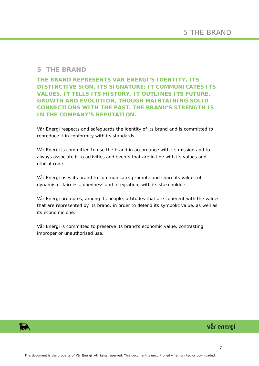#### <span id="page-6-0"></span>**5 THE BRAND**

#### **THE BRAND REPRESENTS VÅR ENERGI'S IDENTITY, ITS DISTINCTIVE SIGN, ITS SIGNATURE: IT COMMUNICATES ITS VALUES, IT TELLS ITS HISTORY, IT OUTLINES ITS FUTURE, GROWTH AND EVOLUTION, THOUGH MAINTAINING SOLID CONNECTIONS WITH THE PAST. THE BRAND'S STRENGTH IS IN THE COMPANY'S REPUTATION.**

Vår Energi respects and safeguards the identity of its brand and is committed to reproduce it in conformity with its standards.

Vår Energi is committed to use the brand in accordance with its mission and to always associate it to activities and events that are in line with its values and ethical code.

Vår Energi uses its brand to communicate, promote and share its values of dynamism, fairness, openness and integration, with its stakeholders.

Vår Energi promotes, among its people, attitudes that are coherent with the values that are represented by its brand, in order to defend its symbolic value, as well as its economic one.

Vår Energi is committed to preserve its brand's economic value, contrasting improper or unauthorised use.

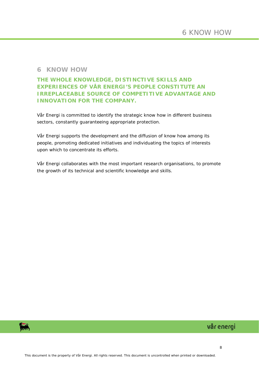#### <span id="page-7-0"></span>**6 KNOW HOW**

**THE WHOLE KNOWLEDGE, DISTINCTIVE SKILLS AND EXPERIENCES OF VÅR ENERGI'S PEOPLE CONSTITUTE AN IRREPLACEABLE SOURCE OF COMPETITIVE ADVANTAGE AND INNOVATION FOR THE COMPANY.**

Vår Energi is committed to identify the strategic know how in different business sectors, constantly guaranteeing appropriate protection.

Vår Energi supports the development and the diffusion of know how among its people, promoting dedicated initiatives and individuating the topics of interests upon which to concentrate its efforts.

Vår Energi collaborates with the most important research organisations, to promote the growth of its technical and scientific knowledge and skills.

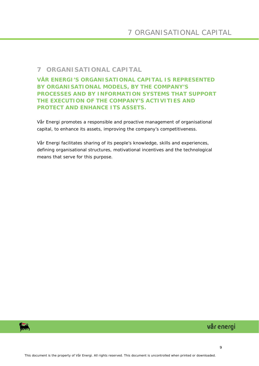## <span id="page-8-0"></span>**7 ORGANISATIONAL CAPITAL**

#### **VÅR ENERGI'S ORGANISATIONAL CAPITAL IS REPRESENTED BY ORGANISATIONAL MODELS, BY THE COMPANY'S PROCESSES AND BY INFORMATION SYSTEMS THAT SUPPORT THE EXECUTION OF THE COMPANY'S ACTIVITIES AND PROTECT AND ENHANCE ITS ASSETS.**

Vår Energi promotes a responsible and proactive management of organisational capital, to enhance its assets, improving the company's competitiveness.

Vår Energi facilitates sharing of its people's knowledge, skills and experiences, defining organisational structures, motivational incentives and the technological means that serve for this purpose.